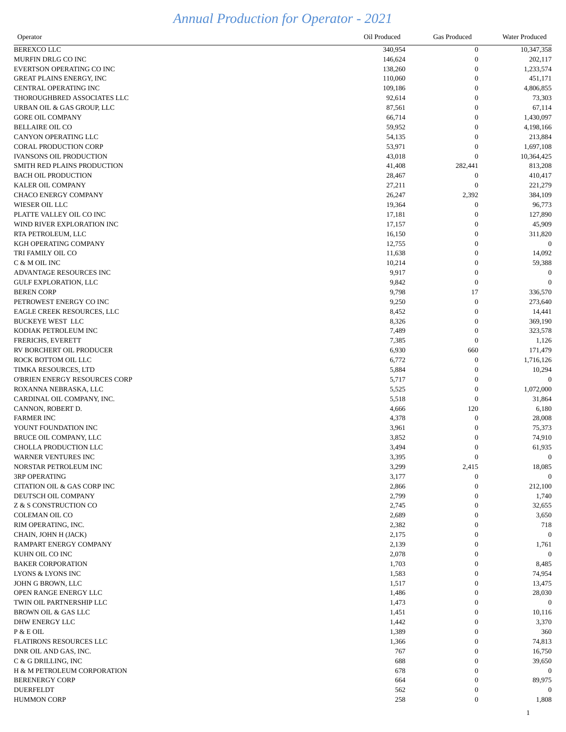## *Annual Production for Operator - 2021*

| Operator                                              | Oil Produced     | <b>Gas Produced</b>       | <b>Water Produced</b>       |
|-------------------------------------------------------|------------------|---------------------------|-----------------------------|
| BEREXCO LLC                                           | 340,954          | $\overline{0}$            | 10,347,358                  |
| MURFIN DRLG CO INC                                    | 146,624          | $\boldsymbol{0}$          | 202,117                     |
| EVERTSON OPERATING CO INC                             | 138,260          | $\theta$                  | 1,233,574                   |
| <b>GREAT PLAINS ENERGY, INC</b>                       | 110,060          | $\theta$                  | 451,171                     |
| CENTRAL OPERATING INC                                 | 109,186          | $\theta$                  | 4,806,855                   |
| THOROUGHBRED ASSOCIATES LLC                           | 92,614           | $\theta$                  | 73,303                      |
| URBAN OIL & GAS GROUP, LLC<br><b>GORE OIL COMPANY</b> | 87,561<br>66,714 | $\theta$<br>$\theta$      | 67,114<br>1,430,097         |
| <b>BELLAIRE OIL CO</b>                                | 59,952           | $\theta$                  | 4,198,166                   |
| CANYON OPERATING LLC                                  | 54,135           | $\theta$                  | 213,884                     |
| <b>CORAL PRODUCTION CORP</b>                          | 53,971           | $\theta$                  | 1,697,108                   |
| <b>IVANSONS OIL PRODUCTION</b>                        | 43,018           | $\theta$                  | 10,364,425                  |
| SMITH RED PLAINS PRODUCTION                           | 41,408           | 282,441                   | 813,208                     |
| <b>BACH OIL PRODUCTION</b>                            | 28,467           | $\overline{0}$            | 410,417                     |
| KALER OIL COMPANY                                     | 27,211           | $\Omega$                  | 221,279                     |
| <b>CHACO ENERGY COMPANY</b>                           | 26,247           | 2,392                     | 384,109                     |
| WIESER OIL LLC                                        | 19,364           | $\theta$                  | 96,773                      |
| PLATTE VALLEY OIL CO INC                              | 17,181           | $\boldsymbol{0}$          | 127,890                     |
| WIND RIVER EXPLORATION INC                            | 17,157           | $\theta$                  | 45,909                      |
| RTA PETROLEUM, LLC<br>KGH OPERATING COMPANY           | 16,150<br>12,755 | $\theta$<br>$\Omega$      | 311,820<br>$\boldsymbol{0}$ |
| TRI FAMILY OIL CO                                     | 11,638           | $\theta$                  | 14,092                      |
| C & M OIL INC                                         | 10,214           | $\theta$                  | 59,388                      |
| ADVANTAGE RESOURCES INC                               | 9,917            | $\boldsymbol{0}$          |                             |
| <b>GULF EXPLORATION, LLC</b>                          | 9,842            | $\boldsymbol{0}$          | $\theta$                    |
| <b>BEREN CORP</b>                                     | 9,798            | 17                        | 336,570                     |
| PETROWEST ENERGY CO INC                               | 9,250            | $\boldsymbol{0}$          | 273,640                     |
| EAGLE CREEK RESOURCES, LLC                            | 8,452            | $\theta$                  | 14,441                      |
| BUCKEYE WEST LLC                                      | 8,326            | $\theta$                  | 369,190                     |
| KODIAK PETROLEUM INC                                  | 7,489            |                           | 323,578                     |
| FRERICHS, EVERETT                                     | 7,385            | $\Omega$                  | 1,126                       |
| RV BORCHERT OIL PRODUCER<br>ROCK BOTTOM OIL LLC       | 6,930            | 660<br>$\boldsymbol{0}$   | 171,479                     |
| TIMKA RESOURCES, LTD                                  | 6,772<br>5,884   | $\theta$                  | 1,716,126<br>10,294         |
| O'BRIEN ENERGY RESOURCES CORP                         | 5,717            | $\theta$                  | 0                           |
| ROXANNA NEBRASKA, LLC                                 | 5,525            | $\theta$                  | 1,072,000                   |
| CARDINAL OIL COMPANY, INC.                            | 5,518            | $\overline{0}$            | 31,864                      |
| CANNON, ROBERT D.                                     | 4,666            | 120                       | 6,180                       |
| <b>FARMER INC</b>                                     | 4,378            | $\boldsymbol{0}$          | 28,008                      |
| YOUNT FOUNDATION INC                                  | 3,961            | 0                         | 75,373                      |
| BRUCE OIL COMPANY, LLC                                | 3,852            | $\Omega$                  | 74,910                      |
| CHOLLA PRODUCTION LLC                                 | 3,494            | $\Omega$                  | 61,935                      |
| WARNER VENTURES INC                                   | 3,395            | $\overline{0}$            | $\boldsymbol{0}$            |
| NORSTAR PETROLEUM INC<br><b>3RP OPERATING</b>         | 3,299<br>3,177   | 2,415<br>$\boldsymbol{0}$ | 18,085<br>$\overline{0}$    |
| <b>CITATION OIL &amp; GAS CORP INC</b>                | 2,866            | 0                         | 212,100                     |
| DEUTSCH OIL COMPANY                                   | 2,799            | $\Omega$                  | 1,740                       |
| Z & S CONSTRUCTION CO                                 | 2,745            | 0                         | 32,655                      |
| <b>COLEMAN OIL CO</b>                                 | 2,689            | $\theta$                  | 3,650                       |
| RIM OPERATING, INC.                                   | 2,382            | $\Omega$                  | 718                         |
| CHAIN, JOHN H (JACK)                                  | 2,175            | 0                         | $\bf{0}$                    |
| RAMPART ENERGY COMPANY                                | 2,139            | $\theta$                  | 1,761                       |
| KUHN OIL CO INC                                       | 2,078            | 0                         | $\boldsymbol{0}$            |
| <b>BAKER CORPORATION</b>                              | 1,703            | 0                         | 8,485                       |
| LYONS & LYONS INC                                     | 1,583            | $\theta$                  | 74,954                      |
| JOHN G BROWN, LLC<br>OPEN RANGE ENERGY LLC            | 1,517            | $\theta$<br>$\theta$      | 13,475                      |
| TWIN OIL PARTNERSHIP LLC                              | 1,486<br>1,473   | $\theta$                  | 28,030<br>$\boldsymbol{0}$  |
| BROWN OIL & GAS LLC                                   | 1,451            | $\Omega$                  | 10,116                      |
| DHW ENERGY LLC                                        | 1,442            |                           | 3,370                       |
| P & E OIL                                             | 1,389            | $\theta$                  | 360                         |
| FLATIRONS RESOURCES LLC                               | 1,366            |                           | 74,813                      |
| DNR OIL AND GAS, INC.                                 | 767              | $\theta$                  | 16,750                      |
| C & G DRILLING, INC                                   | 688              | $\boldsymbol{0}$          | 39,650                      |
| H & M PETROLEUM CORPORATION                           | 678              | 0                         | $\boldsymbol{0}$            |
| <b>BERENERGY CORP</b>                                 | 664              | 0                         | 89,975                      |
| <b>DUERFELDT</b>                                      | 562              | $\boldsymbol{0}$          | $\boldsymbol{0}$            |
| <b>HUMMON CORP</b>                                    | 258              | $\boldsymbol{0}$          | 1,808                       |